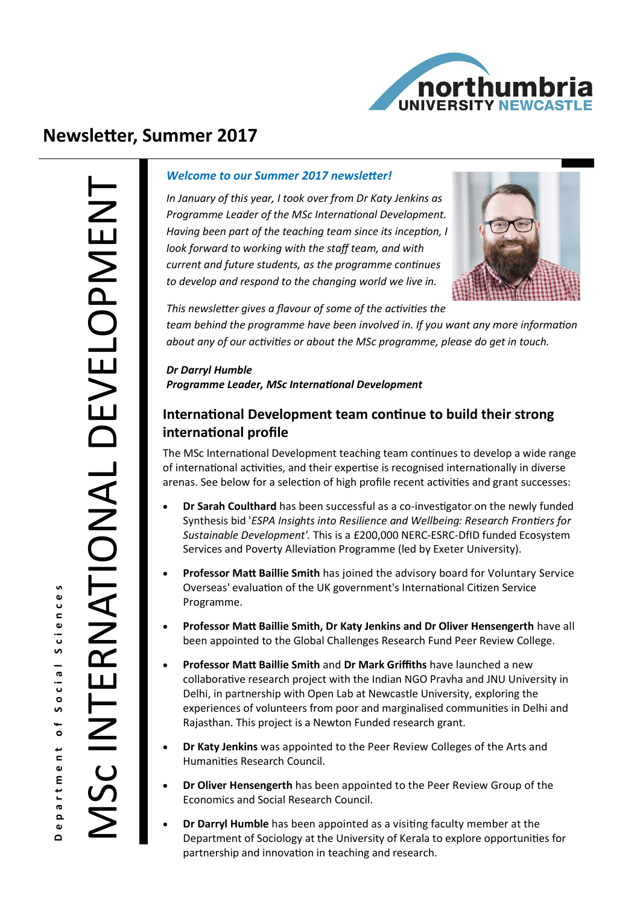

# **Newsletter, Summer 2017**

#### *Welcome to our Summer 2017 newsletter!*

*In January of this year, I took over from Dr Katy Jenkins as Programme Leader of the MSc International Development. Having been part of the teaching team since its inception, I look forward to working with the staff team, and with current and future students, as the programme continues to develop and respond to the changing world we live in.* 



*This newsletter gives a flavour of some of the activities the* 

*team behind the programme have been involved in. If you want any more information about any of our activities or about the MSc programme, please do get in touch.*

*Dr Darryl Humble Programme Leader, MSc International Development* 

## **International Development team continue to build their strong international profile**

The MSc International Development teaching team continues to develop a wide range of international activities, and their expertise is recognised internationally in diverse arenas. See below for a selection of high profile recent activities and grant successes:

- **Dr Sarah Coulthard** has been successful as a co-investigator on the newly funded Synthesis bid '*ESPA Insights into Resilience and Wellbeing: Research Frontiers for Sustainable Development'.* This is a £200,000 NERC-ESRC-DfID funded Ecosystem Services and Poverty Alleviation Programme (led by Exeter University).
- **Professor Matt Baillie Smith** has joined the advisory board for Voluntary Service Overseas' evaluation of the UK government's International Citizen Service Programme.
- **Professor Matt Baillie Smith, Dr Katy Jenkins and Dr Oliver Hensengerth** have all been appointed to the Global Challenges Research Fund Peer Review College.
- **Professor Matt Baillie Smith** and **Dr Mark Griffiths** have launched a new collaborative research project with the Indian NGO Pravha and JNU University in Delhi, in partnership with Open Lab at Newcastle University, exploring the experiences of volunteers from poor and marginalised communities in Delhi and Rajasthan. This project is a Newton Funded research grant.
- **Dr Katy Jenkins** was appointed to the Peer Review Colleges of the Arts and Humanities Research Council.
- **Dr Oliver Hensengerth** has been appointed to the Peer Review Group of the Economics and Social Research Council.
- **Dr Darryl Humble** has been appointed as a visiting faculty member at the Department of Sociology at the University of Kerala to explore opportunities for partnership and innovation in teaching and research.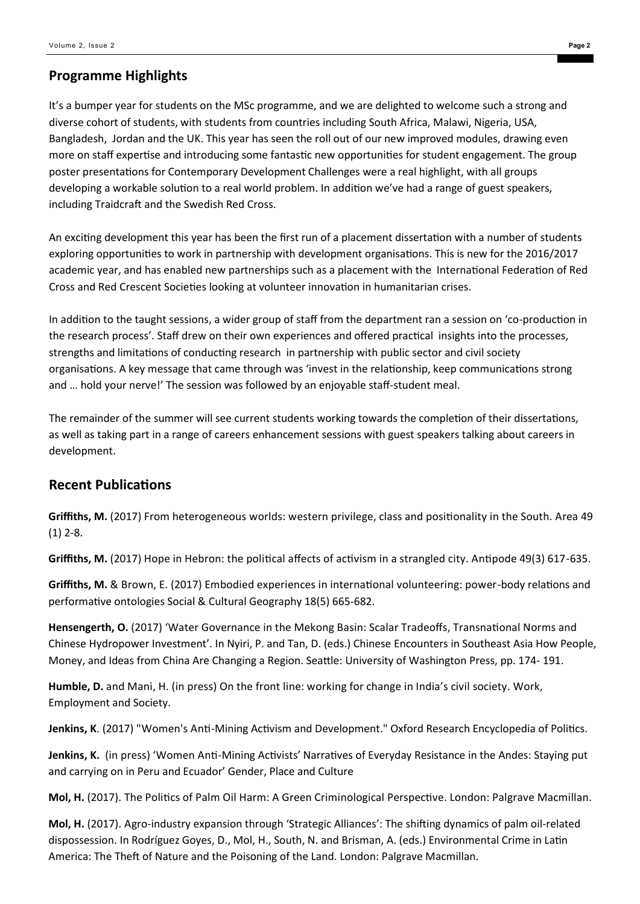## **Programme Highlights**

It's a bumper year for students on the MSc programme, and we are delighted to welcome such a strong and diverse cohort of students, with students from countries including South Africa, Malawi, Nigeria, USA, Bangladesh, Jordan and the UK. This year has seen the roll out of our new improved modules, drawing even more on staff expertise and introducing some fantastic new opportunities for student engagement. The group poster presentations for Contemporary Development Challenges were a real highlight, with all groups developing a workable solution to a real world problem. In addition we've had a range of guest speakers, including Traidcraft and the Swedish Red Cross.

An exciting development this year has been the first run of a placement dissertation with a number of students exploring opportunities to work in partnership with development organisations. This is new for the 2016/2017 academic year, and has enabled new partnerships such as a placement with the International Federation of Red Cross and Red Crescent Societies looking at volunteer innovation in humanitarian crises.

In addition to the taught sessions, a wider group of staff from the department ran a session on 'co-production in the research process'. Staff drew on their own experiences and offered practical insights into the processes, strengths and limitations of conducting research in partnership with public sector and civil society organisations. A key message that came through was 'invest in the relationship, keep communications strong and ... hold your nerve!' The session was followed by an enjoyable staff-student meal.

The remainder of the summer will see current students working towards the completion of their dissertations, as well as taking part in a range of careers enhancement sessions with guest speakers talking about careers in development.

## **Recent Publications**

**Griffiths, M.** (2017) From heterogeneous worlds: western privilege, class and positionality in the South. Area 49 (1) 2-8.

**Griffiths, M.** (2017) Hope in Hebron: the political affects of activism in a strangled city. Antipode 49(3) 617-635.

**Griffiths, M.** & Brown, E. (2017) Embodied experiences in international volunteering: power-body relations and performative ontologies Social & Cultural Geography 18(5) 665-682.

Hensengerth, O. (2017) 'Water Governance in the Mekong Basin: Scalar Tradeoffs, Transnational Norms and Chinese Hydropower Investment'. In Nyiri, P. and Tan, D. (eds.) Chinese Encounters in Southeast Asia How People, Money, and Ideas from China Are Changing a Region. Seattle: University of Washington Press, pp. 174- 191.

**Humble, D.** and Mani, H. (in press) On the front line: working for change in India's civil society. Work, Employment and Society.

**Jenkins, K**. (2017) "Women's Anti-Mining Activism and Development." Oxford Research Encyclopedia of Politics.

**Jenkins, K.** (in press) 'Women Anti-Mining Activists' Narratives of Everyday Resistance in the Andes: Staying put and carrying on in Peru and Ecuador' Gender, Place and Culture

**Mol, H.** (2017). The Politics of Palm Oil Harm: A Green Criminological Perspective. London: Palgrave Macmillan.

**Mol, H.** (2017). Agro-industry expansion through 'Strategic Alliances': The shifting dynamics of palm oil-related dispossession. In Rodríguez Goyes, D., Mol, H., South, N. and Brisman, A. (eds.) Environmental Crime in Latin America: The Theft of Nature and the Poisoning of the Land. London: Palgrave Macmillan.